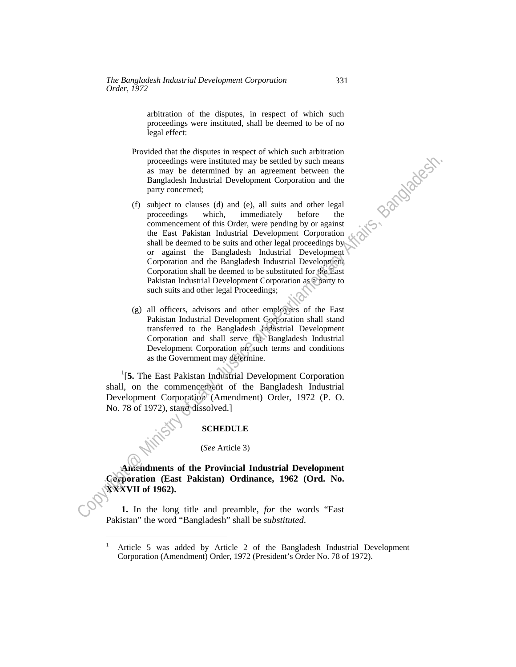arbitration of the disputes, in respect of which such proceedings were instituted, shall be deemed to be of no legal effect:

- Provided that the disputes in respect of which such arbitration proceedings were instituted may be settled by such means as may be determined by an agreement between the Bangladesh Industrial Development Corporation and the party concerned;
- (f) subject to clauses (d) and (e), all suits and other legal proceedings which, immediately before the commencement of this Order, were pending by or against the East Pakistan Industrial Development Corporation shall be deemed to be suits and other legal proceedings by or against the Bangladesh Industrial Development Corporation and the Bangladesh Industrial Development Corporation shall be deemed to be substituted for the East Pakistan Industrial Development Corporation as a party to such suits and other legal Proceedings; proceding were instituted by such the settled by such measures<br>
as any be determined by an agreement between the<br>
Bangladesh Industrial Development Corporation and the<br>
procedings which, immediately before the<br>
commenceme
	- (g) all officers, advisors and other employees of the East Pakistan Industrial Development Corporation shall stand transferred to the Bangladesh Industrial Development Corporation and shall serve the Bangladesh Industrial Development Corporation on such terms and conditions as the Government may determine.

<sup>1</sup>[5. The East Pakistan Industrial Development Corporation shall, on the commencement of the Bangladesh Industrial Development Corporation (Amendment) Order, 1972 (P. O. No. 78 of 1972), stand dissolved.]

## **SCHEDULE**

## (*See* Article 3)

 **Amendments of the Provincial Industrial Development Corporation (East Pakistan) Ordinance, 1962 (Ord. No. XXXVII of 1962).** 

**1.** In the long title and preamble, *for* the words "East Pakistan" the word "Bangladesh" shall be *substituted*.

j

 $\overline{a}$ 

<sup>1</sup> Article 5 was added by Article 2 of the Bangladesh Industrial Development Corporation (Amendment) Order, 1972 (President's Order No. 78 of 1972).